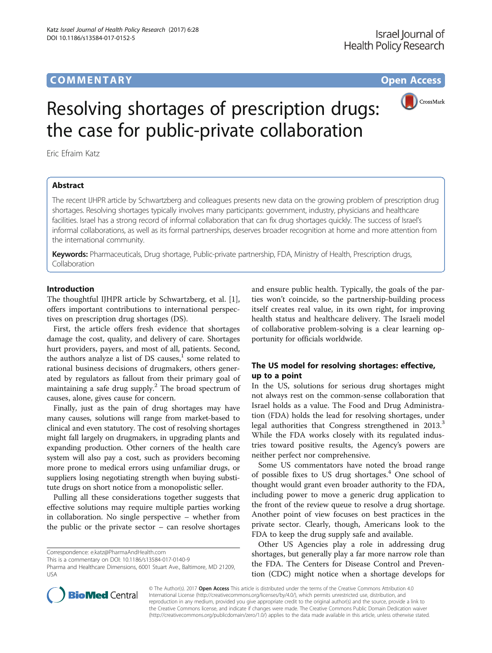# **COMMENTARY COMMENTARY Open Access**



# Resolving shortages of prescription drugs: the case for public-private collaboration

Eric Efraim Katz

# Abstract

The recent IJHPR article by Schwartzberg and colleagues presents new data on the growing problem of prescription drug shortages. Resolving shortages typically involves many participants: government, industry, physicians and healthcare facilities. Israel has a strong record of informal collaboration that can fix drug shortages quickly. The success of Israel's informal collaborations, as well as its formal partnerships, deserves broader recognition at home and more attention from the international community.

Keywords: Pharmaceuticals, Drug shortage, Public-private partnership, FDA, Ministry of Health, Prescription drugs, Collaboration

## Introduction

The thoughtful IJHPR article by Schwartzberg, et al. [\[1](#page-2-0)], offers important contributions to international perspectives on prescription drug shortages (DS).

First, the article offers fresh evidence that shortages damage the cost, quality, and delivery of care. Shortages hurt providers, payers, and most of all, patients. Second, the authors analyze a list of DS causes, $<sup>1</sup>$  some related to</sup> rational business decisions of drugmakers, others generated by regulators as fallout from their primary goal of maintaining a safe drug supply. $^2$  The broad spectrum of causes, alone, gives cause for concern.

Finally, just as the pain of drug shortages may have many causes, solutions will range from market-based to clinical and even statutory. The cost of resolving shortages might fall largely on drugmakers, in upgrading plants and expanding production. Other corners of the health care system will also pay a cost, such as providers becoming more prone to medical errors using unfamiliar drugs, or suppliers losing negotiating strength when buying substitute drugs on short notice from a monopolistic seller.

Pulling all these considerations together suggests that effective solutions may require multiple parties working in collaboration. No single perspective – whether from the public or the private sector – can resolve shortages

Correspondence: [e.katz@PharmaAndHealth.com](mailto:e.katz@PharmaAndHealth.com)

This is a commentary on DOI: 10.1186/s13584-017-0140-9

and ensure public health. Typically, the goals of the parties won't coincide, so the partnership-building process itself creates real value, in its own right, for improving health status and healthcare delivery. The Israeli model of collaborative problem-solving is a clear learning opportunity for officials worldwide.

# The US model for resolving shortages: effective, up to a point

In the US, solutions for serious drug shortages might not always rest on the common-sense collaboration that Israel holds as a value. The Food and Drug Administration (FDA) holds the lead for resolving shortages, under legal authorities that Congress strengthened in 2013.<sup>3</sup> While the FDA works closely with its regulated industries toward positive results, the Agency's powers are neither perfect nor comprehensive.

Some US commentators have noted the broad range of possible fixes to US drug shortages. $4$  One school of thought would grant even broader authority to the FDA, including power to move a generic drug application to the front of the review queue to resolve a drug shortage. Another point of view focuses on best practices in the private sector. Clearly, though, Americans look to the FDA to keep the drug supply safe and available.

Other US Agencies play a role in addressing drug shortages, but generally play a far more narrow role than the FDA. The Centers for Disease Control and Prevention (CDC) might notice when a shortage develops for



© The Author(s). 2017 Open Access This article is distributed under the terms of the Creative Commons Attribution 4.0 International License [\(http://creativecommons.org/licenses/by/4.0/](http://creativecommons.org/licenses/by/4.0/)), which permits unrestricted use, distribution, and reproduction in any medium, provided you give appropriate credit to the original author(s) and the source, provide a link to the Creative Commons license, and indicate if changes were made. The Creative Commons Public Domain Dedication waiver [\(http://creativecommons.org/publicdomain/zero/1.0/](http://creativecommons.org/publicdomain/zero/1.0/)) applies to the data made available in this article, unless otherwise stated.

Pharma and Healthcare Dimensions, 6001 Stuart Ave., Baltimore, MD 21209, USA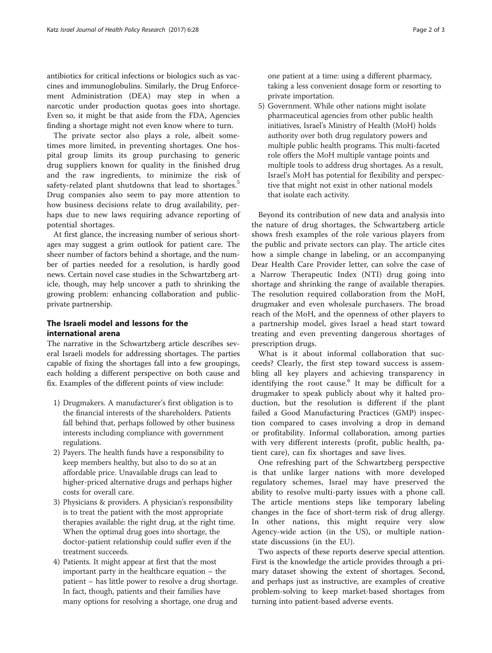antibiotics for critical infections or biologics such as vaccines and immunoglobulins. Similarly, the Drug Enforcement Administration (DEA) may step in when a narcotic under production quotas goes into shortage. Even so, it might be that aside from the FDA, Agencies finding a shortage might not even know where to turn.

The private sector also plays a role, albeit sometimes more limited, in preventing shortages. One hospital group limits its group purchasing to generic drug suppliers known for quality in the finished drug and the raw ingredients, to minimize the risk of safety-related plant shutdowns that lead to shortages.<sup>5</sup> Drug companies also seem to pay more attention to how business decisions relate to drug availability, perhaps due to new laws requiring advance reporting of potential shortages.

At first glance, the increasing number of serious shortages may suggest a grim outlook for patient care. The sheer number of factors behind a shortage, and the number of parties needed for a resolution, is hardly good news. Certain novel case studies in the Schwartzberg article, though, may help uncover a path to shrinking the growing problem: enhancing collaboration and publicprivate partnership.

# The Israeli model and lessons for the international arena

The narrative in the Schwartzberg article describes several Israeli models for addressing shortages. The parties capable of fixing the shortages fall into a few groupings, each holding a different perspective on both cause and fix. Examples of the different points of view include:

- 1) Drugmakers. A manufacturer's first obligation is to the financial interests of the shareholders. Patients fall behind that, perhaps followed by other business interests including compliance with government regulations.
- 2) Payers. The health funds have a responsibility to keep members healthy, but also to do so at an affordable price. Unavailable drugs can lead to higher-priced alternative drugs and perhaps higher costs for overall care.
- 3) Physicians & providers. A physician's responsibility is to treat the patient with the most appropriate therapies available: the right drug, at the right time. When the optimal drug goes into shortage, the doctor-patient relationship could suffer even if the treatment succeeds.
- 4) Patients. It might appear at first that the most important party in the healthcare equation – the patient – has little power to resolve a drug shortage. In fact, though, patients and their families have many options for resolving a shortage, one drug and

one patient at a time: using a different pharmacy, taking a less convenient dosage form or resorting to private importation.

5) Government. While other nations might isolate pharmaceutical agencies from other public health initiatives, Israel's Ministry of Health (MoH) holds authority over both drug regulatory powers and multiple public health programs. This multi-faceted role offers the MoH multiple vantage points and multiple tools to address drug shortages. As a result, Israel's MoH has potential for flexibility and perspective that might not exist in other national models that isolate each activity.

Beyond its contribution of new data and analysis into the nature of drug shortages, the Schwartzberg article shows fresh examples of the role various players from the public and private sectors can play. The article cites how a simple change in labeling, or an accompanying Dear Health Care Provider letter, can solve the case of a Narrow Therapeutic Index (NTI) drug going into shortage and shrinking the range of available therapies. The resolution required collaboration from the MoH, drugmaker and even wholesale purchasers. The broad reach of the MoH, and the openness of other players to a partnership model, gives Israel a head start toward treating and even preventing dangerous shortages of prescription drugs.

What is it about informal collaboration that succeeds? Clearly, the first step toward success is assembling all key players and achieving transparency in identifying the root cause.<sup>6</sup> It may be difficult for a drugmaker to speak publicly about why it halted production, but the resolution is different if the plant failed a Good Manufacturing Practices (GMP) inspection compared to cases involving a drop in demand or profitability. Informal collaboration, among parties with very different interests (profit, public health, patient care), can fix shortages and save lives.

One refreshing part of the Schwartzberg perspective is that unlike larger nations with more developed regulatory schemes, Israel may have preserved the ability to resolve multi-party issues with a phone call. The article mentions steps like temporary labeling changes in the face of short-term risk of drug allergy. In other nations, this might require very slow Agency-wide action (in the US), or multiple nationstate discussions (in the EU).

Two aspects of these reports deserve special attention. First is the knowledge the article provides through a primary dataset showing the extent of shortages. Second, and perhaps just as instructive, are examples of creative problem-solving to keep market-based shortages from turning into patient-based adverse events.